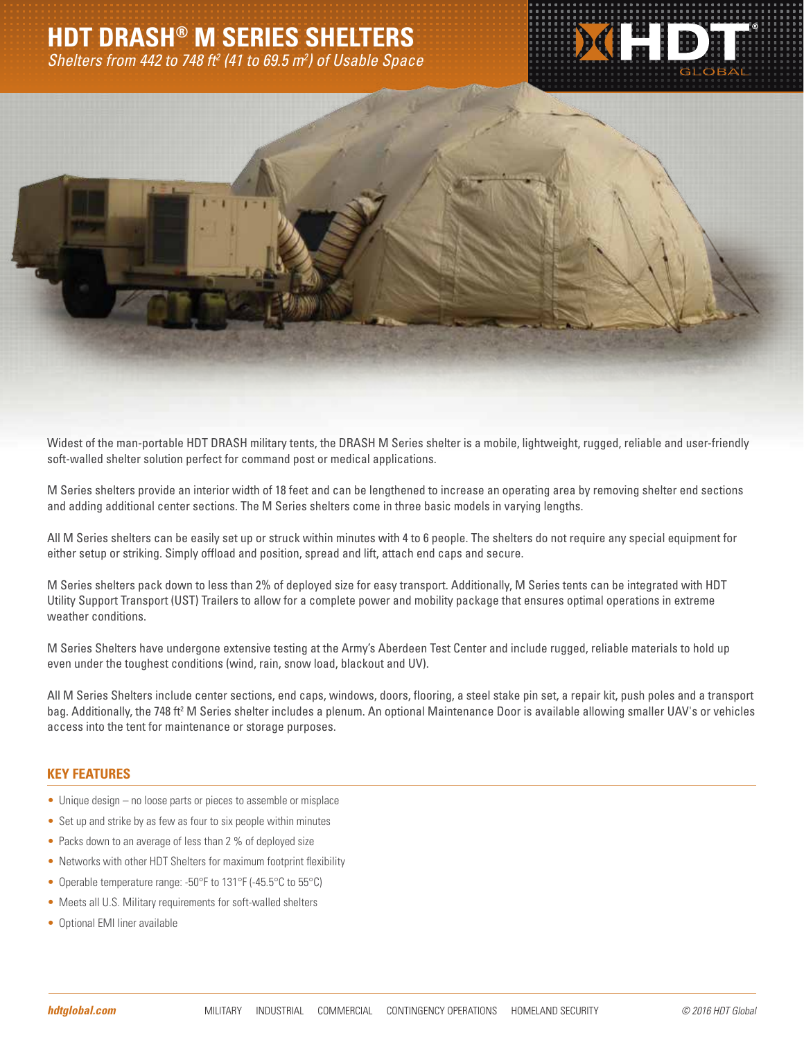## **HDT DRASH® M SERIES SHELTERS**

*Shelters from 442 to 748 ft2 (41 to 69.5 m2 ) of Usable Space*





Widest of the man-portable HDT DRASH military tents, the DRASH M Series shelter is a mobile, lightweight, rugged, reliable and user-friendly soft-walled shelter solution perfect for command post or medical applications.

M Series shelters provide an interior width of 18 feet and can be lengthened to increase an operating area by removing shelter end sections and adding additional center sections. The M Series shelters come in three basic models in varying lengths.

All M Series shelters can be easily set up or struck within minutes with 4 to 6 people. The shelters do not require any special equipment for either setup or striking. Simply offload and position, spread and lift, attach end caps and secure.

M Series shelters pack down to less than 2% of deployed size for easy transport. Additionally, M Series tents can be integrated with HDT Utility Support Transport (UST) Trailers to allow for a complete power and mobility package that ensures optimal operations in extreme weather conditions.

M Series Shelters have undergone extensive testing at the Army's Aberdeen Test Center and include rugged, reliable materials to hold up even under the toughest conditions (wind, rain, snow load, blackout and UV).

All M Series Shelters include center sections, end caps, windows, doors, flooring, a steel stake pin set, a repair kit, push poles and a transport bag. Additionally, the 748 ft<sup>2</sup> M Series shelter includes a plenum. An optional Maintenance Door is available allowing smaller UAV's or vehicles access into the tent for maintenance or storage purposes.

## **KEY FEATURES**

- Unique design no loose parts or pieces to assemble or misplace
- Set up and strike by as few as four to six people within minutes
- Packs down to an average of less than 2 % of deployed size
- Networks with other HDT Shelters for maximum footprint flexibility
- Operable temperature range: -50°F to 131°F (-45.5°C to 55°C)
- Meets all U.S. Military requirements for soft-walled shelters
- Optional EMI liner available